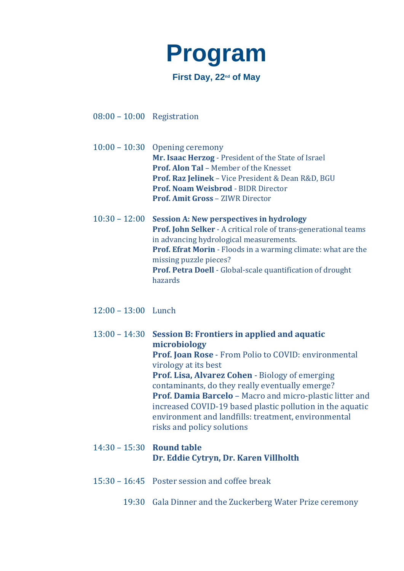

08:00 – 10:00 Registration

10:00 – 10:30 Opening ceremony **Mr. Isaac Herzog** - President of the State of Israel **Prof. Alon Tal** – Member of the Knesset **Prof. Raz Jelinek** – Vice President & Dean R&D, BGU **Prof. Noam Weisbrod** - BIDR Director **Prof. Amit Gross** – ZIWR Director

10:30 – 12:00 **Session A: New perspectives in hydrology Prof. John Selker** - A critical role of trans-generational teams in advancing hydrological measurements. **Prof. Efrat Morin** - Floods in a warming climate: what are the missing puzzle pieces? **Prof. Petra Doell** - Global-scale quantification of drought hazards

12:00 – 13:00 Lunch

13:00 – 14:30 **Session B: Frontiers in applied and aquatic microbiology Prof. Joan Rose** - From Polio to COVID: environmental virology at its best **Prof. Lisa, Alvarez Cohen** - Biology of emerging contaminants, do they really eventually emerge? **Prof. Damia Barcelo** – Macro and micro-plastic litter and increased COVID-19 based plastic pollution in the aquatic environment and landfills: treatment, environmental risks and policy solutions

## 14:30 – 15:30 **Round table Dr. Eddie Cytryn, Dr. Karen Villholth**

- 15:30 16:45 Poster session and coffee break
	- 19:30 Gala Dinner and the Zuckerberg Water Prize ceremony